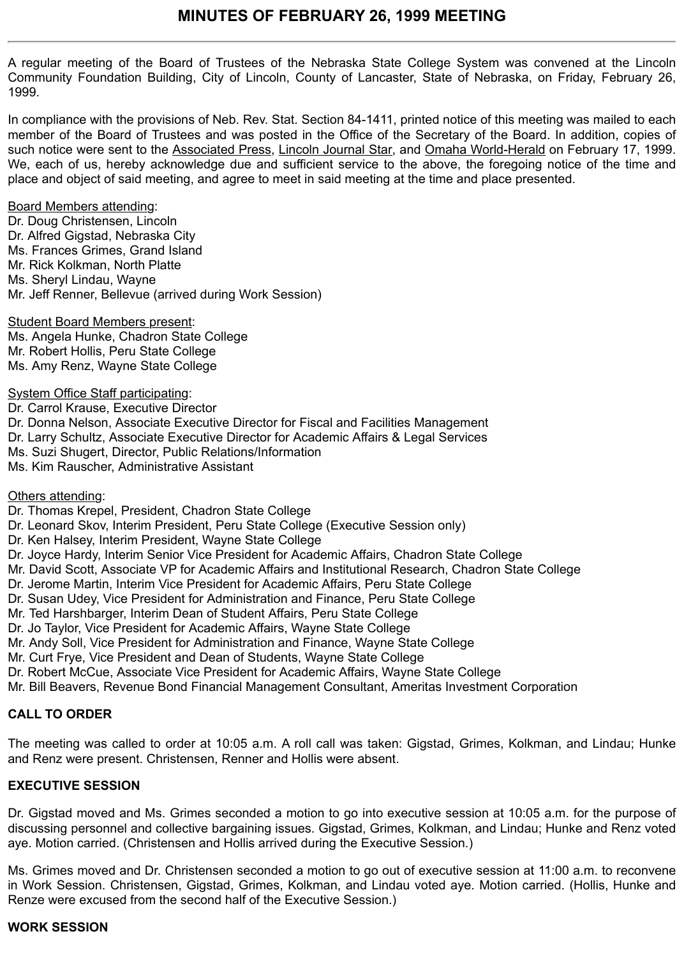A regular meeting of the Board of Trustees of the Nebraska State College System was convened at the Lincoln Community Foundation Building, City of Lincoln, County of Lancaster, State of Nebraska, on Friday, February 26, 1999.

In compliance with the provisions of Neb. Rev. Stat. Section 84-1411, printed notice of this meeting was mailed to each member of the Board of Trustees and was posted in the Office of the Secretary of the Board. In addition, copies of such notice were sent to the Associated Press, Lincoln Journal Star, and Omaha World-Herald on February 17, 1999. We, each of us, hereby acknowledge due and sufficient service to the above, the foregoing notice of the time and place and object of said meeting, and agree to meet in said meeting at the time and place presented.

Board Members attending:

Dr. Doug Christensen, Lincoln Dr. Alfred Gigstad, Nebraska City Ms. Frances Grimes, Grand Island Mr. Rick Kolkman, North Platte Ms. Sheryl Lindau, Wayne Mr. Jeff Renner, Bellevue (arrived during Work Session)

Student Board Members present: Ms. Angela Hunke, Chadron State College Mr. Robert Hollis, Peru State College Ms. Amy Renz, Wayne State College

System Office Staff participating:

Dr. Carrol Krause, Executive Director Dr. Donna Nelson, Associate Executive Director for Fiscal and Facilities Management Dr. Larry Schultz, Associate Executive Director for Academic Affairs & Legal Services Ms. Suzi Shugert, Director, Public Relations/Information Ms. Kim Rauscher, Administrative Assistant

Others attending:

Dr. Thomas Krepel, President, Chadron State College

Dr. Leonard Skov, Interim President, Peru State College (Executive Session only)

Dr. Ken Halsey, Interim President, Wayne State College

Dr. Joyce Hardy, Interim Senior Vice President for Academic Affairs, Chadron State College

Mr. David Scott, Associate VP for Academic Affairs and Institutional Research, Chadron State College

Dr. Jerome Martin, Interim Vice President for Academic Affairs, Peru State College

Dr. Susan Udey, Vice President for Administration and Finance, Peru State College

Mr. Ted Harshbarger, Interim Dean of Student Affairs, Peru State College

Dr. Jo Taylor, Vice President for Academic Affairs, Wayne State College

Mr. Andy Soll, Vice President for Administration and Finance, Wayne State College

Mr. Curt Frye, Vice President and Dean of Students, Wayne State College

Dr. Robert McCue, Associate Vice President for Academic Affairs, Wayne State College

Mr. Bill Beavers, Revenue Bond Financial Management Consultant, Ameritas Investment Corporation

# **CALL TO ORDER**

The meeting was called to order at 10:05 a.m. A roll call was taken: Gigstad, Grimes, Kolkman, and Lindau; Hunke and Renz were present. Christensen, Renner and Hollis were absent.

# **EXECUTIVE SESSION**

Dr. Gigstad moved and Ms. Grimes seconded a motion to go into executive session at 10:05 a.m. for the purpose of discussing personnel and collective bargaining issues. Gigstad, Grimes, Kolkman, and Lindau; Hunke and Renz voted aye. Motion carried. (Christensen and Hollis arrived during the Executive Session.)

Ms. Grimes moved and Dr. Christensen seconded a motion to go out of executive session at 11:00 a.m. to reconvene in Work Session. Christensen, Gigstad, Grimes, Kolkman, and Lindau voted aye. Motion carried. (Hollis, Hunke and Renze were excused from the second half of the Executive Session.)

# **WORK SESSION**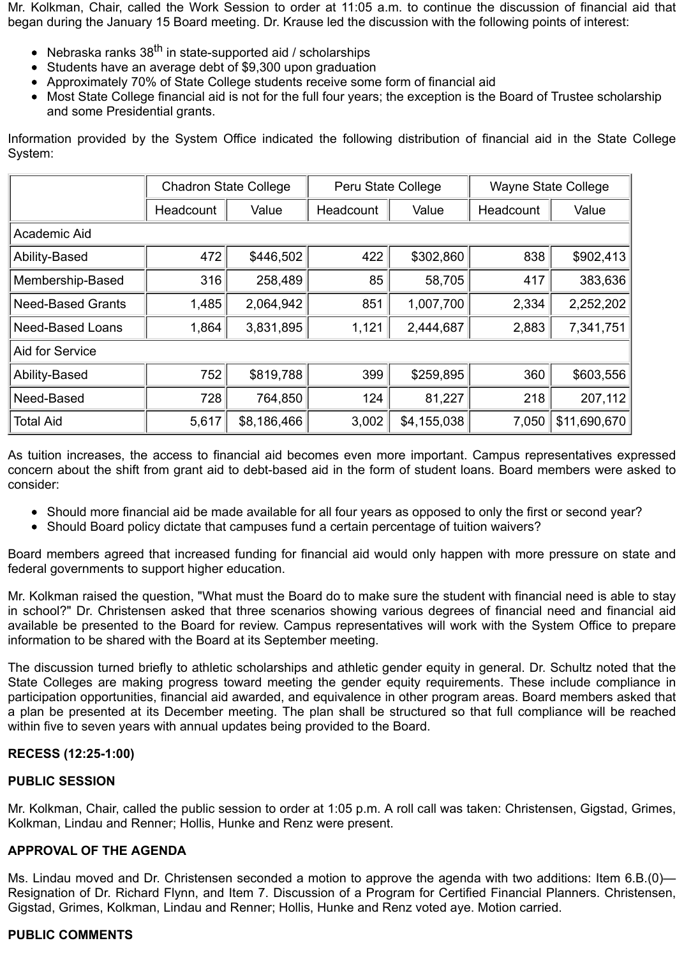Mr. Kolkman, Chair, called the Work Session to order at 11:05 a.m. to continue the discussion of financial aid that began during the January 15 Board meeting. Dr. Krause led the discussion with the following points of interest:

- Nebraska ranks  $38<sup>th</sup>$  in state-supported aid / scholarships
- Students have an average debt of \$9,300 upon graduation
- Approximately 70% of State College students receive some form of financial aid
- Most State College financial aid is not for the full four years; the exception is the Board of Trustee scholarship and some Presidential grants.

Information provided by the System Office indicated the following distribution of financial aid in the State College System:

|                          | <b>Chadron State College</b> |             | Peru State College |             | <b>Wayne State College</b> |              |
|--------------------------|------------------------------|-------------|--------------------|-------------|----------------------------|--------------|
|                          | Headcount                    | Value       | Headcount          | Value       | Headcount                  | Value        |
| Academic Aid             |                              |             |                    |             |                            |              |
| Ability-Based            | 472                          | \$446,502   | 422                | \$302,860   | 838                        | \$902,413    |
| Membership-Based         | 316                          | 258,489     | 85                 | 58,705      | 417                        | 383,636      |
| <b>Need-Based Grants</b> | 1,485                        | 2,064,942   | 851                | 1,007,700   | 2,334                      | 2,252,202    |
| <b>Need-Based Loans</b>  | 1,864                        | 3,831,895   | 1,121              | 2,444,687   | 2,883                      | 7,341,751    |
| Aid for Service          |                              |             |                    |             |                            |              |
| Ability-Based            | 752                          | \$819,788   | 399                | \$259,895   | 360                        | \$603,556    |
| Need-Based               | 728                          | 764,850     | 124                | 81,227      | 218                        | 207,112      |
| <b>Total Aid</b>         | 5,617                        | \$8,186,466 | 3,002              | \$4,155,038 | 7,050                      | \$11,690,670 |

As tuition increases, the access to financial aid becomes even more important. Campus representatives expressed concern about the shift from grant aid to debt-based aid in the form of student loans. Board members were asked to consider:

- Should more financial aid be made available for all four years as opposed to only the first or second year?
- Should Board policy dictate that campuses fund a certain percentage of tuition waivers?

Board members agreed that increased funding for financial aid would only happen with more pressure on state and federal governments to support higher education.

Mr. Kolkman raised the question, "What must the Board do to make sure the student with financial need is able to stay in school?" Dr. Christensen asked that three scenarios showing various degrees of financial need and financial aid available be presented to the Board for review. Campus representatives will work with the System Office to prepare information to be shared with the Board at its September meeting.

The discussion turned briefly to athletic scholarships and athletic gender equity in general. Dr. Schultz noted that the State Colleges are making progress toward meeting the gender equity requirements. These include compliance in participation opportunities, financial aid awarded, and equivalence in other program areas. Board members asked that a plan be presented at its December meeting. The plan shall be structured so that full compliance will be reached within five to seven years with annual updates being provided to the Board.

### **RECESS (12:25-1:00)**

### **PUBLIC SESSION**

Mr. Kolkman, Chair, called the public session to order at 1:05 p.m. A roll call was taken: Christensen, Gigstad, Grimes, Kolkman, Lindau and Renner; Hollis, Hunke and Renz were present.

### **APPROVAL OF THE AGENDA**

Ms. Lindau moved and Dr. Christensen seconded a motion to approve the agenda with two additions: Item 6.B.(0)— Resignation of Dr. Richard Flynn, and Item 7. Discussion of a Program for Certified Financial Planners. Christensen, Gigstad, Grimes, Kolkman, Lindau and Renner; Hollis, Hunke and Renz voted aye. Motion carried.

### **PUBLIC COMMENTS**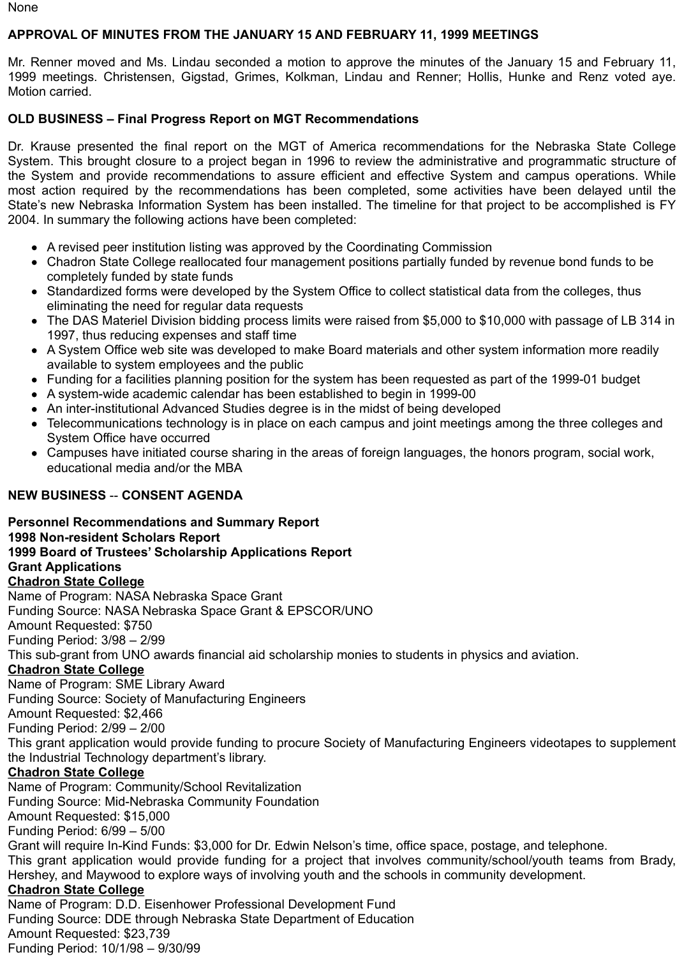None

# **APPROVAL OF MINUTES FROM THE JANUARY 15 AND FEBRUARY 11, 1999 MEETINGS**

Mr. Renner moved and Ms. Lindau seconded a motion to approve the minutes of the January 15 and February 11, 1999 meetings. Christensen, Gigstad, Grimes, Kolkman, Lindau and Renner; Hollis, Hunke and Renz voted aye. Motion carried.

# **OLD BUSINESS – Final Progress Report on MGT Recommendations**

Dr. Krause presented the final report on the MGT of America recommendations for the Nebraska State College System. This brought closure to a project began in 1996 to review the administrative and programmatic structure of the System and provide recommendations to assure efficient and effective System and campus operations. While most action required by the recommendations has been completed, some activities have been delayed until the State's new Nebraska Information System has been installed. The timeline for that project to be accomplished is FY 2004. In summary the following actions have been completed:

- A revised peer institution listing was approved by the Coordinating Commission
- Chadron State College reallocated four management positions partially funded by revenue bond funds to be completely funded by state funds
- Standardized forms were developed by the System Office to collect statistical data from the colleges, thus eliminating the need for regular data requests
- The DAS Materiel Division bidding process limits were raised from \$5,000 to \$10,000 with passage of LB 314 in  $\bullet$ 1997, thus reducing expenses and staff time
- A System Office web site was developed to make Board materials and other system information more readily available to system employees and the public
- Funding for a facilities planning position for the system has been requested as part of the 1999-01 budget
- A system-wide academic calendar has been established to begin in 1999-00
- An inter-institutional Advanced Studies degree is in the midst of being developed
- Telecommunications technology is in place on each campus and joint meetings among the three colleges and System Office have occurred
- Campuses have initiated course sharing in the areas of foreign languages, the honors program, social work, educational media and/or the MBA

# **NEW BUSINESS** -- **CONSENT AGENDA**

**Personnel Recommendations and Summary Report 1998 Non-resident Scholars Report 1999 Board of Trustees' Scholarship Applications Report Grant Applications Chadron State College** Name of Program: NASA Nebraska Space Grant Funding Source: NASA Nebraska Space Grant & EPSCOR/UNO Amount Requested: \$750 Funding Period: 3/98 – 2/99 This sub-grant from UNO awards financial aid scholarship monies to students in physics and aviation. **Chadron State College** Name of Program: SME Library Award Funding Source: Society of Manufacturing Engineers Amount Requested: \$2,466 Funding Period: 2/99 – 2/00 This grant application would provide funding to procure Society of Manufacturing Engineers videotapes to supplement the Industrial Technology department's library. **Chadron State College** Name of Program: Community/School Revitalization Funding Source: Mid-Nebraska Community Foundation Amount Requested: \$15,000 Funding Period: 6/99 – 5/00 Grant will require In-Kind Funds: \$3,000 for Dr. Edwin Nelson's time, office space, postage, and telephone. This grant application would provide funding for a project that involves community/school/youth teams from Brady, Hershey, and Maywood to explore ways of involving youth and the schools in community development. **Chadron State College** Name of Program: D.D. Eisenhower Professional Development Fund Funding Source: DDE through Nebraska State Department of Education

Amount Requested: \$23,739 Funding Period: 10/1/98 – 9/30/99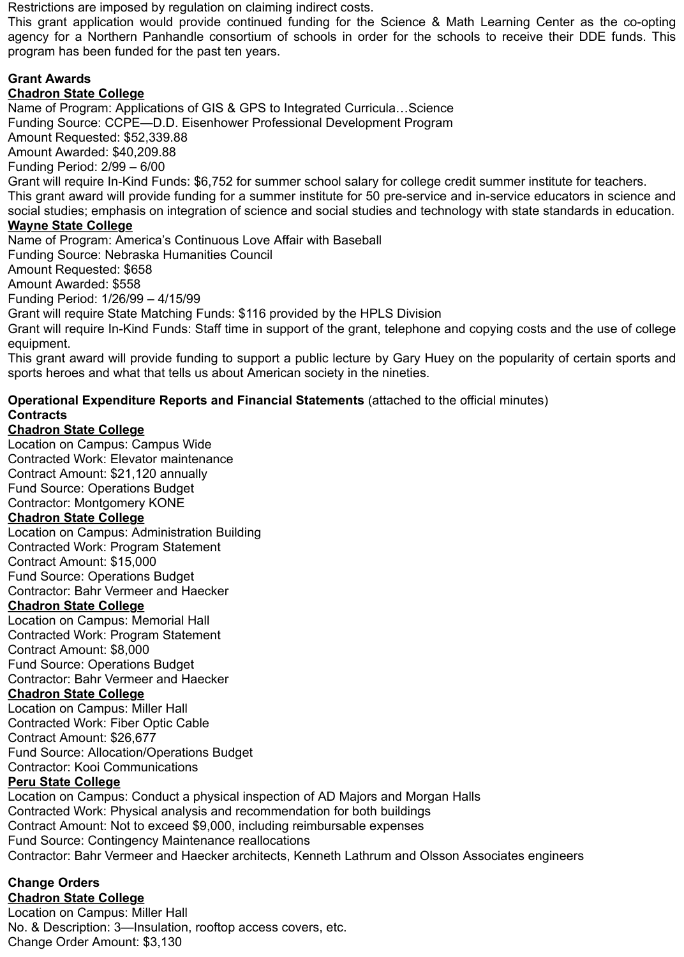Restrictions are imposed by regulation on claiming indirect costs.

This grant application would provide continued funding for the Science & Math Learning Center as the co-opting agency for a Northern Panhandle consortium of schools in order for the schools to receive their DDE funds. This program has been funded for the past ten years.

# **Grant Awards**

# **Chadron State College**

Name of Program: Applications of GIS & GPS to Integrated Curricula…Science Funding Source: CCPE—D.D. Eisenhower Professional Development Program Amount Requested: \$52,339.88 Amount Awarded: \$40,209.88 Funding Period: 2/99 – 6/00 Grant will require In-Kind Funds: \$6,752 for summer school salary for college credit summer institute for teachers. This grant award will provide funding for a summer institute for 50 pre-service and in-service educators in science and social studies; emphasis on integration of science and social studies and technology with state standards in education.

# **Wayne State College**

Name of Program: America's Continuous Love Affair with Baseball

Funding Source: Nebraska Humanities Council

Amount Requested: \$658

Amount Awarded: \$558

Funding Period: 1/26/99 – 4/15/99

Grant will require State Matching Funds: \$116 provided by the HPLS Division

Grant will require In-Kind Funds: Staff time in support of the grant, telephone and copying costs and the use of college equipment.

This grant award will provide funding to support a public lecture by Gary Huey on the popularity of certain sports and sports heroes and what that tells us about American society in the nineties.

# **Operational Expenditure Reports and Financial Statements** (attached to the official minutes) **Contracts**

# **Chadron State College**

Location on Campus: Campus Wide Contracted Work: Elevator maintenance Contract Amount: \$21,120 annually Fund Source: Operations Budget Contractor: Montgomery KONE

## **Chadron State College**

Location on Campus: Administration Building Contracted Work: Program Statement Contract Amount: \$15,000 Fund Source: Operations Budget Contractor: Bahr Vermeer and Haecker

# **Chadron State College**

Location on Campus: Memorial Hall Contracted Work: Program Statement Contract Amount: \$8,000 Fund Source: Operations Budget Contractor: Bahr Vermeer and Haecker

# **Chadron State College**

Location on Campus: Miller Hall Contracted Work: Fiber Optic Cable Contract Amount: \$26,677 Fund Source: Allocation/Operations Budget Contractor: Kooi Communications

# **Peru State College**

Location on Campus: Conduct a physical inspection of AD Majors and Morgan Halls Contracted Work: Physical analysis and recommendation for both buildings Contract Amount: Not to exceed \$9,000, including reimbursable expenses Fund Source: Contingency Maintenance reallocations Contractor: Bahr Vermeer and Haecker architects, Kenneth Lathrum and Olsson Associates engineers

# **Change Orders**

**Chadron State College** Location on Campus: Miller Hall No. & Description: 3—Insulation, rooftop access covers, etc. Change Order Amount: \$3,130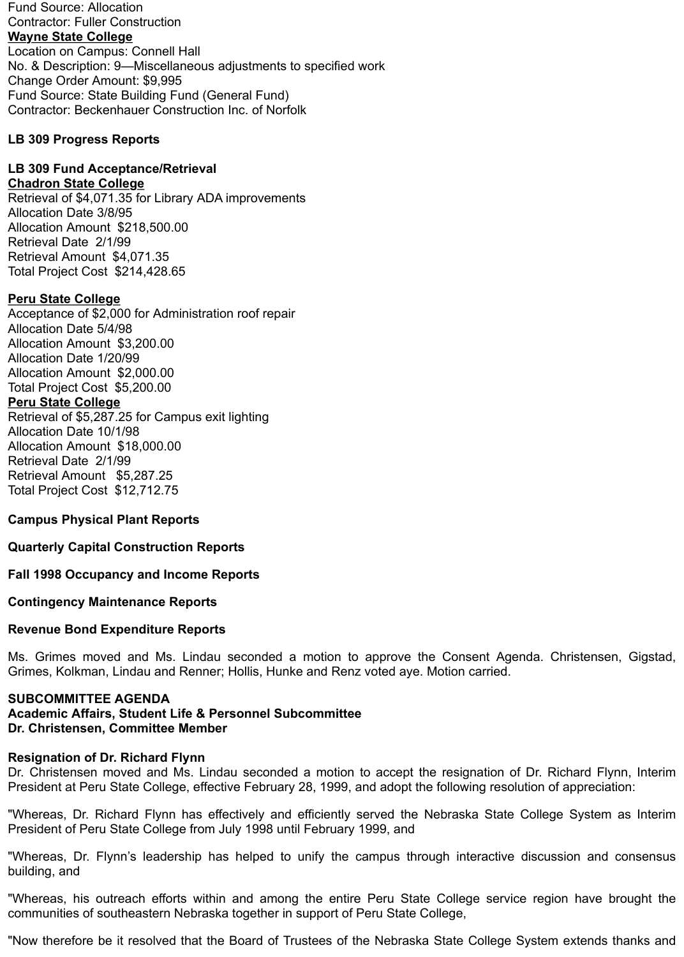Fund Source: Allocation Contractor: Fuller Construction **Wayne State College** Location on Campus: Connell Hall No. & Description: 9—Miscellaneous adjustments to specified work Change Order Amount: \$9,995 Fund Source: State Building Fund (General Fund) Contractor: Beckenhauer Construction Inc. of Norfolk

### **LB 309 Progress Reports**

# **LB 309 Fund Acceptance/Retrieval**

### **Chadron State College**

Retrieval of \$4,071.35 for Library ADA improvements Allocation Date 3/8/95 Allocation Amount \$218,500.00 Retrieval Date 2/1/99 Retrieval Amount \$4,071.35 Total Project Cost \$214,428.65

### **Peru State College**

Acceptance of \$2,000 for Administration roof repair Allocation Date 5/4/98 Allocation Amount \$3,200.00 Allocation Date 1/20/99 Allocation Amount \$2,000.00 Total Project Cost \$5,200.00 **Peru State College** Retrieval of \$5,287.25 for Campus exit lighting Allocation Date 10/1/98 Allocation Amount \$18,000.00 Retrieval Date 2/1/99 Retrieval Amount \$5,287.25 Total Project Cost \$12,712.75

### **Campus Physical Plant Reports**

### **Quarterly Capital Construction Reports**

#### **Fall 1998 Occupancy and Income Reports**

#### **Contingency Maintenance Reports**

#### **Revenue Bond Expenditure Reports**

Ms. Grimes moved and Ms. Lindau seconded a motion to approve the Consent Agenda. Christensen, Gigstad, Grimes, Kolkman, Lindau and Renner; Hollis, Hunke and Renz voted aye. Motion carried.

#### **SUBCOMMITTEE AGENDA**

#### **Academic Affairs, Student Life & Personnel Subcommittee Dr. Christensen, Committee Member**

#### **Resignation of Dr. Richard Flynn**

Dr. Christensen moved and Ms. Lindau seconded a motion to accept the resignation of Dr. Richard Flynn, Interim President at Peru State College, effective February 28, 1999, and adopt the following resolution of appreciation:

"Whereas, Dr. Richard Flynn has effectively and efficiently served the Nebraska State College System as Interim President of Peru State College from July 1998 until February 1999, and

"Whereas, Dr. Flynn's leadership has helped to unify the campus through interactive discussion and consensus building, and

"Whereas, his outreach efforts within and among the entire Peru State College service region have brought the communities of southeastern Nebraska together in support of Peru State College,

"Now therefore be it resolved that the Board of Trustees of the Nebraska State College System extends thanks and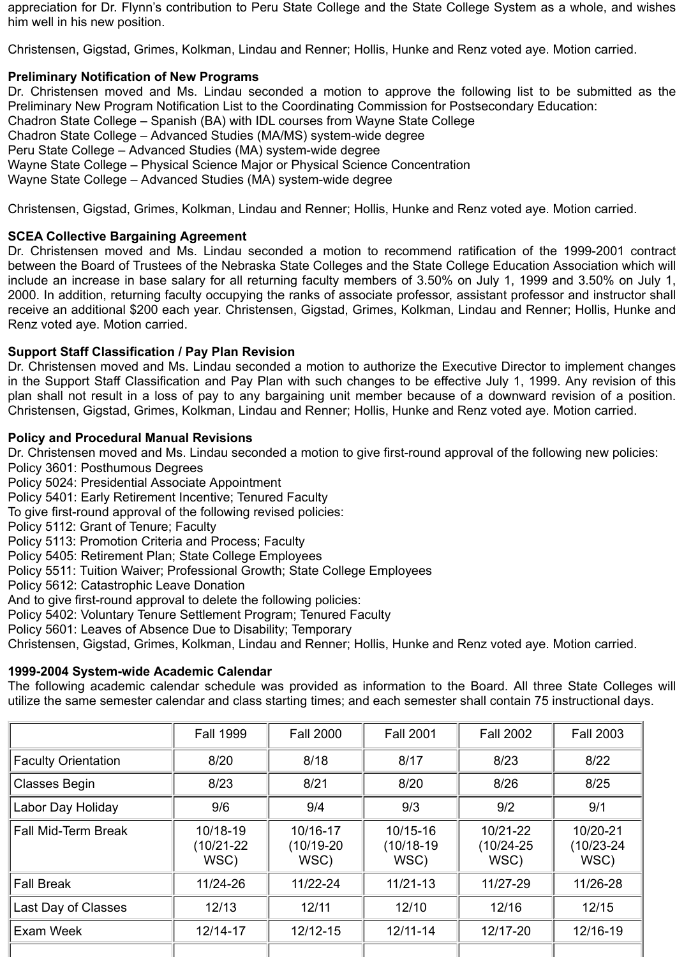appreciation for Dr. Flynn's contribution to Peru State College and the State College System as a whole, and wishes him well in his new position.

Christensen, Gigstad, Grimes, Kolkman, Lindau and Renner; Hollis, Hunke and Renz voted aye. Motion carried.

# **Preliminary Notification of New Programs**

Dr. Christensen moved and Ms. Lindau seconded a motion to approve the following list to be submitted as the Preliminary New Program Notification List to the Coordinating Commission for Postsecondary Education: Chadron State College – Spanish (BA) with IDL courses from Wayne State College Chadron State College – Advanced Studies (MA/MS) system-wide degree Peru State College – Advanced Studies (MA) system-wide degree Wayne State College – Physical Science Major or Physical Science Concentration Wayne State College – Advanced Studies (MA) system-wide degree

Christensen, Gigstad, Grimes, Kolkman, Lindau and Renner; Hollis, Hunke and Renz voted aye. Motion carried.

## **SCEA Collective Bargaining Agreement**

Dr. Christensen moved and Ms. Lindau seconded a motion to recommend ratification of the 1999-2001 contract between the Board of Trustees of the Nebraska State Colleges and the State College Education Association which will include an increase in base salary for all returning faculty members of 3.50% on July 1, 1999 and 3.50% on July 1, 2000. In addition, returning faculty occupying the ranks of associate professor, assistant professor and instructor shall receive an additional \$200 each year. Christensen, Gigstad, Grimes, Kolkman, Lindau and Renner; Hollis, Hunke and Renz voted aye. Motion carried.

## **Support Staff Classification / Pay Plan Revision**

Dr. Christensen moved and Ms. Lindau seconded a motion to authorize the Executive Director to implement changes in the Support Staff Classification and Pay Plan with such changes to be effective July 1, 1999. Any revision of this plan shall not result in a loss of pay to any bargaining unit member because of a downward revision of a position. Christensen, Gigstad, Grimes, Kolkman, Lindau and Renner; Hollis, Hunke and Renz voted aye. Motion carried.

### **Policy and Procedural Manual Revisions**

Dr. Christensen moved and Ms. Lindau seconded a motion to give first-round approval of the following new policies: Policy 3601: Posthumous Degrees

Policy 5024: Presidential Associate Appointment

Policy 5401: Early Retirement Incentive; Tenured Faculty

To give first-round approval of the following revised policies:

Policy 5112: Grant of Tenure; Faculty

Policy 5113: Promotion Criteria and Process; Faculty

Policy 5405: Retirement Plan; State College Employees

Policy 5511: Tuition Waiver; Professional Growth; State College Employees

Policy 5612: Catastrophic Leave Donation

And to give first-round approval to delete the following policies:

Policy 5402: Voluntary Tenure Settlement Program; Tenured Faculty

Policy 5601: Leaves of Absence Due to Disability; Temporary

Christensen, Gigstad, Grimes, Kolkman, Lindau and Renner; Hollis, Hunke and Renz voted aye. Motion carried.

### **1999-2004 System-wide Academic Calendar**

The following academic calendar schedule was provided as information to the Board. All three State Colleges will utilize the same semester calendar and class starting times; and each semester shall contain 75 instructional days.

|                            | <b>Fall 1999</b>                   | <b>Fall 2000</b>                 | <b>Fall 2001</b>                 | <b>Fall 2002</b>              | <b>Fall 2003</b>                   |
|----------------------------|------------------------------------|----------------------------------|----------------------------------|-------------------------------|------------------------------------|
| <b>Faculty Orientation</b> | 8/20                               | 8/18                             | 8/17                             | 8/23                          | 8/22                               |
| <b>Classes Begin</b>       | 8/23                               | 8/21                             | 8/20                             | 8/26                          | 8/25                               |
| Labor Day Holiday          | 9/6                                | 9/4                              | 9/3                              | 9/2                           | 9/1                                |
| <b>Fall Mid-Term Break</b> | 10/18-19<br>$(10/21 - 22)$<br>WSC) | 10/16-17<br>$(10/19-20)$<br>WSC) | 10/15-16<br>$(10/18-19)$<br>WSC) | 10/21-22<br>(10/24-25<br>WSC) | 10/20-21<br>$(10/23 - 24)$<br>WSC) |
| <b>Fall Break</b>          | 11/24-26                           | 11/22-24                         | $11/21 - 13$                     | 11/27-29                      | 11/26-28                           |
| Last Day of Classes        | 12/13                              | 12/11                            | 12/10                            | 12/16                         | 12/15                              |
| Exam Week                  | 12/14-17                           | $12/12 - 15$                     | $12/11 - 14$                     | 12/17-20                      | 12/16-19                           |
|                            |                                    |                                  |                                  |                               |                                    |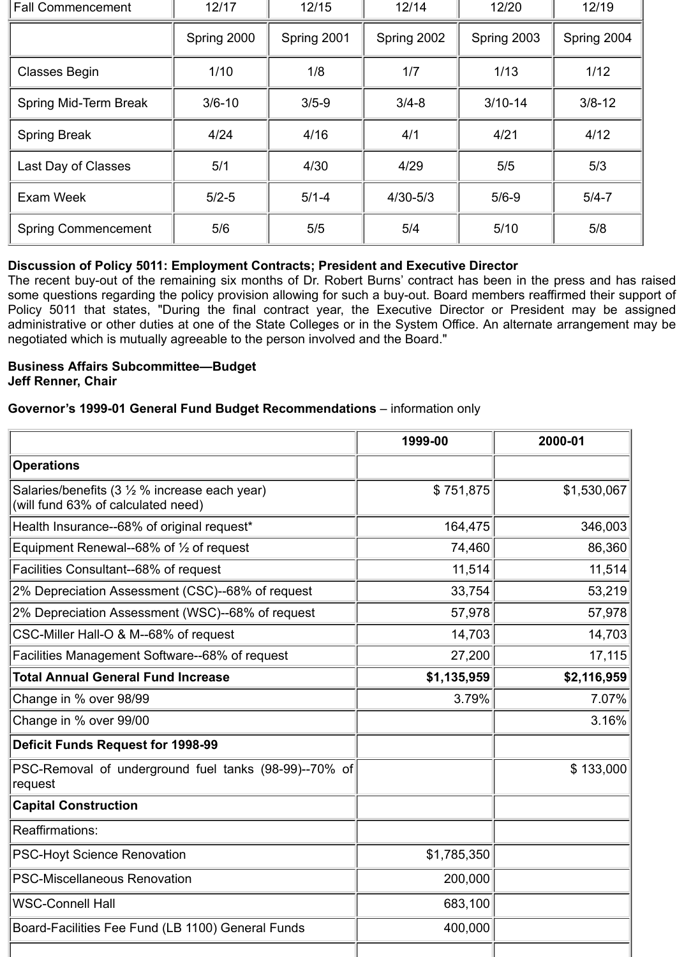| <b>Fall Commencement</b>   | 12/17       | 12/15       | 12/14        | 12/20       | 12/19       |
|----------------------------|-------------|-------------|--------------|-------------|-------------|
|                            | Spring 2000 | Spring 2001 | Spring 2002  | Spring 2003 | Spring 2004 |
| <b>Classes Begin</b>       | 1/10        | 1/8         | 1/7          | 1/13        | $1/12$      |
| Spring Mid-Term Break      | $3/6 - 10$  | $3/5 - 9$   | $3/4 - 8$    | $3/10-14$   | $3/8 - 12$  |
| <b>Spring Break</b>        | 4/24        | 4/16        | 4/1          | 4/21        | 4/12        |
| Last Day of Classes        | 5/1         | 4/30        | 4/29         | 5/5         | 5/3         |
| Exam Week                  | $5/2 - 5$   | $5/1 - 4$   | $4/30 - 5/3$ | $5/6 - 9$   | $5/4 - 7$   |
| <b>Spring Commencement</b> | 5/6         | 5/5         | 5/4          | $5/10$      | 5/8         |

# **Discussion of Policy 5011: Employment Contracts; President and Executive Director**

The recent buy-out of the remaining six months of Dr. Robert Burns' contract has been in the press and has raised some questions regarding the policy provision allowing for such a buy-out. Board members reaffirmed their support of Policy 5011 that states, "During the final contract year, the Executive Director or President may be assigned administrative or other duties at one of the State Colleges or in the System Office. An alternate arrangement may be negotiated which is mutually agreeable to the person involved and the Board."

### **Business Affairs Subcommittee—Budget Jeff Renner, Chair**

### **Governor's 1999-01 General Fund Budget Recommendations** – information only

|                                                                                      | 1999-00     | 2000-01     |
|--------------------------------------------------------------------------------------|-------------|-------------|
| <b>Operations</b>                                                                    |             |             |
| Salaries/benefits (3 1/2 % increase each year)<br>(will fund 63% of calculated need) | \$751,875   | \$1,530,067 |
| Health Insurance--68% of original request*                                           | 164,475     | 346,003     |
| Equipment Renewal--68% of $\frac{1}{2}$ of request                                   | 74,460      | 86,360      |
| Facilities Consultant--68% of request                                                | 11,514      | 11,514      |
| 2% Depreciation Assessment (CSC)--68% of request                                     | 33,754      | 53,219      |
| 2% Depreciation Assessment (WSC)--68% of request                                     | 57,978      | 57,978      |
| CSC-Miller Hall-O & M--68% of request                                                | 14,703      | 14,703      |
| Facilities Management Software--68% of request                                       | 27,200      | 17,115      |
| <b>Total Annual General Fund Increase</b>                                            | \$1,135,959 | \$2,116,959 |
| Change in % over 98/99                                                               | 3.79%       | 7.07%       |
| Change in % over 99/00                                                               |             | 3.16%       |
| <b>Deficit Funds Request for 1998-99</b>                                             |             |             |
| PSC-Removal of underground fuel tanks (98-99)--70% of<br>request                     |             | \$133,000   |
| <b>Capital Construction</b>                                                          |             |             |
| <b>Reaffirmations:</b>                                                               |             |             |
| <b>PSC-Hoyt Science Renovation</b>                                                   | \$1,785,350 |             |
| <b>PSC-Miscellaneous Renovation</b>                                                  | 200,000     |             |
| <b>WSC-Connell Hall</b>                                                              | 683,100     |             |
| Board-Facilities Fee Fund (LB 1100) General Funds                                    | 400,000     |             |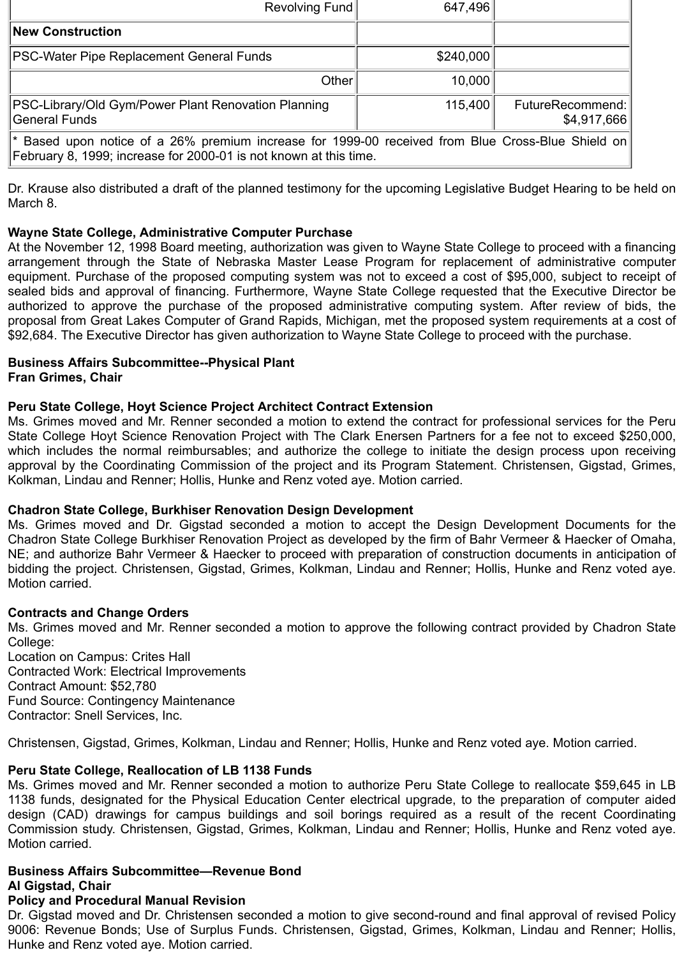| Revolving Fund                                                                                                                                                         | 647,496   |                                 |  |  |
|------------------------------------------------------------------------------------------------------------------------------------------------------------------------|-----------|---------------------------------|--|--|
| <b>New Construction</b>                                                                                                                                                |           |                                 |  |  |
| PSC-Water Pipe Replacement General Funds                                                                                                                               | \$240,000 |                                 |  |  |
| Other                                                                                                                                                                  | 10,000    |                                 |  |  |
| PSC-Library/Old Gym/Power Plant Renovation Planning<br>General Funds                                                                                                   | 115,400   | FutureRecommend:<br>\$4,917,666 |  |  |
| * Based upon notice of a 26% premium increase for 1999-00 received from Blue Cross-Blue Shield on<br>February 8, 1999; increase for 2000-01 is not known at this time. |           |                                 |  |  |

Dr. Krause also distributed a draft of the planned testimony for the upcoming Legislative Budget Hearing to be held on March 8.

### **Wayne State College, Administrative Computer Purchase**

At the November 12, 1998 Board meeting, authorization was given to Wayne State College to proceed with a financing arrangement through the State of Nebraska Master Lease Program for replacement of administrative computer equipment. Purchase of the proposed computing system was not to exceed a cost of \$95,000, subject to receipt of sealed bids and approval of financing. Furthermore, Wayne State College requested that the Executive Director be authorized to approve the purchase of the proposed administrative computing system. After review of bids, the proposal from Great Lakes Computer of Grand Rapids, Michigan, met the proposed system requirements at a cost of \$92,684. The Executive Director has given authorization to Wayne State College to proceed with the purchase.

# **Business Affairs Subcommittee--Physical Plant**

**Fran Grimes, Chair**

## **Peru State College, Hoyt Science Project Architect Contract Extension**

Ms. Grimes moved and Mr. Renner seconded a motion to extend the contract for professional services for the Peru State College Hoyt Science Renovation Project with The Clark Enersen Partners for a fee not to exceed \$250,000, which includes the normal reimbursables; and authorize the college to initiate the design process upon receiving approval by the Coordinating Commission of the project and its Program Statement. Christensen, Gigstad, Grimes, Kolkman, Lindau and Renner; Hollis, Hunke and Renz voted aye. Motion carried.

### **Chadron State College, Burkhiser Renovation Design Development**

Ms. Grimes moved and Dr. Gigstad seconded a motion to accept the Design Development Documents for the Chadron State College Burkhiser Renovation Project as developed by the firm of Bahr Vermeer & Haecker of Omaha, NE; and authorize Bahr Vermeer & Haecker to proceed with preparation of construction documents in anticipation of bidding the project. Christensen, Gigstad, Grimes, Kolkman, Lindau and Renner; Hollis, Hunke and Renz voted aye. Motion carried.

### **Contracts and Change Orders**

Ms. Grimes moved and Mr. Renner seconded a motion to approve the following contract provided by Chadron State College:

Location on Campus: Crites Hall Contracted Work: Electrical Improvements Contract Amount: \$52,780 Fund Source: Contingency Maintenance Contractor: Snell Services, Inc.

Christensen, Gigstad, Grimes, Kolkman, Lindau and Renner; Hollis, Hunke and Renz voted aye. Motion carried.

# **Peru State College, Reallocation of LB 1138 Funds**

Ms. Grimes moved and Mr. Renner seconded a motion to authorize Peru State College to reallocate \$59,645 in LB 1138 funds, designated for the Physical Education Center electrical upgrade, to the preparation of computer aided design (CAD) drawings for campus buildings and soil borings required as a result of the recent Coordinating Commission study. Christensen, Gigstad, Grimes, Kolkman, Lindau and Renner; Hollis, Hunke and Renz voted aye. Motion carried.

#### **Business Affairs Subcommittee—Revenue Bond Al Gigstad, Chair**

# **Policy and Procedural Manual Revision**

Dr. Gigstad moved and Dr. Christensen seconded a motion to give second-round and final approval of revised Policy 9006: Revenue Bonds; Use of Surplus Funds. Christensen, Gigstad, Grimes, Kolkman, Lindau and Renner; Hollis, Hunke and Renz voted aye. Motion carried.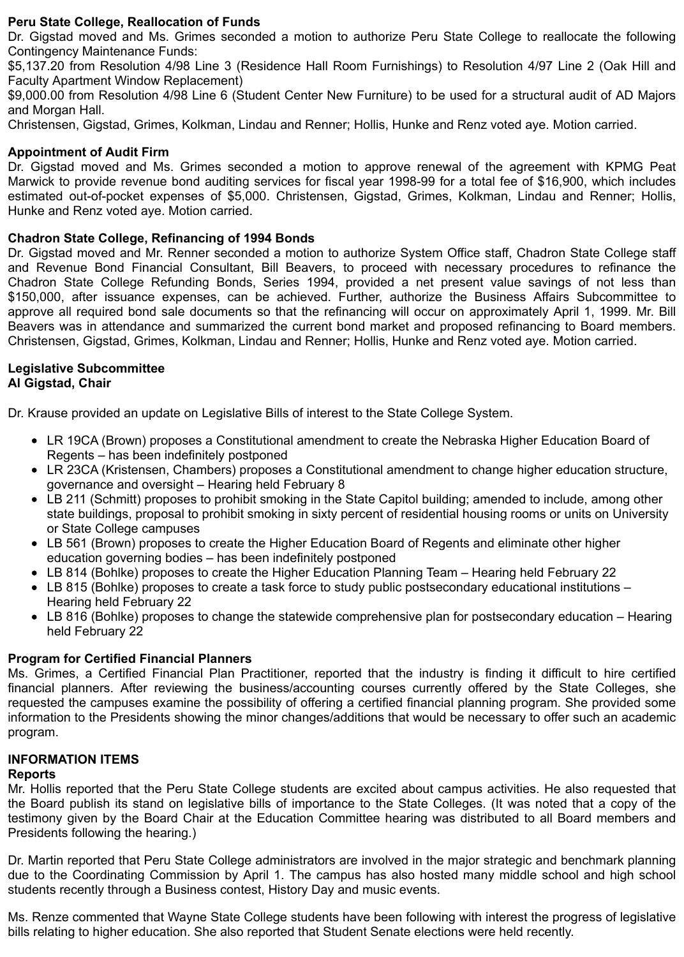### **Peru State College, Reallocation of Funds**

Dr. Gigstad moved and Ms. Grimes seconded a motion to authorize Peru State College to reallocate the following Contingency Maintenance Funds:

\$5,137.20 from Resolution 4/98 Line 3 (Residence Hall Room Furnishings) to Resolution 4/97 Line 2 (Oak Hill and Faculty Apartment Window Replacement)

\$9,000.00 from Resolution 4/98 Line 6 (Student Center New Furniture) to be used for a structural audit of AD Majors and Morgan Hall.

Christensen, Gigstad, Grimes, Kolkman, Lindau and Renner; Hollis, Hunke and Renz voted aye. Motion carried.

### **Appointment of Audit Firm**

Dr. Gigstad moved and Ms. Grimes seconded a motion to approve renewal of the agreement with KPMG Peat Marwick to provide revenue bond auditing services for fiscal year 1998-99 for a total fee of \$16,900, which includes estimated out-of-pocket expenses of \$5,000. Christensen, Gigstad, Grimes, Kolkman, Lindau and Renner; Hollis, Hunke and Renz voted aye. Motion carried.

### **Chadron State College, Refinancing of 1994 Bonds**

Dr. Gigstad moved and Mr. Renner seconded a motion to authorize System Office staff, Chadron State College staff and Revenue Bond Financial Consultant, Bill Beavers, to proceed with necessary procedures to refinance the Chadron State College Refunding Bonds, Series 1994, provided a net present value savings of not less than \$150,000, after issuance expenses, can be achieved. Further, authorize the Business Affairs Subcommittee to approve all required bond sale documents so that the refinancing will occur on approximately April 1, 1999. Mr. Bill Beavers was in attendance and summarized the current bond market and proposed refinancing to Board members. Christensen, Gigstad, Grimes, Kolkman, Lindau and Renner; Hollis, Hunke and Renz voted aye. Motion carried.

#### **Legislative Subcommittee Al Gigstad, Chair**

Dr. Krause provided an update on Legislative Bills of interest to the State College System.

- LR 19CA (Brown) proposes a Constitutional amendment to create the Nebraska Higher Education Board of Regents – has been indefinitely postponed
- LR 23CA (Kristensen, Chambers) proposes a Constitutional amendment to change higher education structure, governance and oversight – Hearing held February 8
- LB 211 (Schmitt) proposes to prohibit smoking in the State Capitol building; amended to include, among other state buildings, proposal to prohibit smoking in sixty percent of residential housing rooms or units on University or State College campuses
- LB 561 (Brown) proposes to create the Higher Education Board of Regents and eliminate other higher education governing bodies – has been indefinitely postponed
- LB 814 (Bohlke) proposes to create the Higher Education Planning Team Hearing held February 22
- LB 815 (Bohlke) proposes to create a task force to study public postsecondary educational institutions Hearing held February 22
- LB 816 (Bohlke) proposes to change the statewide comprehensive plan for postsecondary education Hearing held February 22

### **Program for Certified Financial Planners**

Ms. Grimes, a Certified Financial Plan Practitioner, reported that the industry is finding it difficult to hire certified financial planners. After reviewing the business/accounting courses currently offered by the State Colleges, she requested the campuses examine the possibility of offering a certified financial planning program. She provided some information to the Presidents showing the minor changes/additions that would be necessary to offer such an academic program.

#### **INFORMATION ITEMS**

#### **Reports**

Mr. Hollis reported that the Peru State College students are excited about campus activities. He also requested that the Board publish its stand on legislative bills of importance to the State Colleges. (It was noted that a copy of the testimony given by the Board Chair at the Education Committee hearing was distributed to all Board members and Presidents following the hearing.)

Dr. Martin reported that Peru State College administrators are involved in the major strategic and benchmark planning due to the Coordinating Commission by April 1. The campus has also hosted many middle school and high school students recently through a Business contest, History Day and music events.

Ms. Renze commented that Wayne State College students have been following with interest the progress of legislative bills relating to higher education. She also reported that Student Senate elections were held recently.